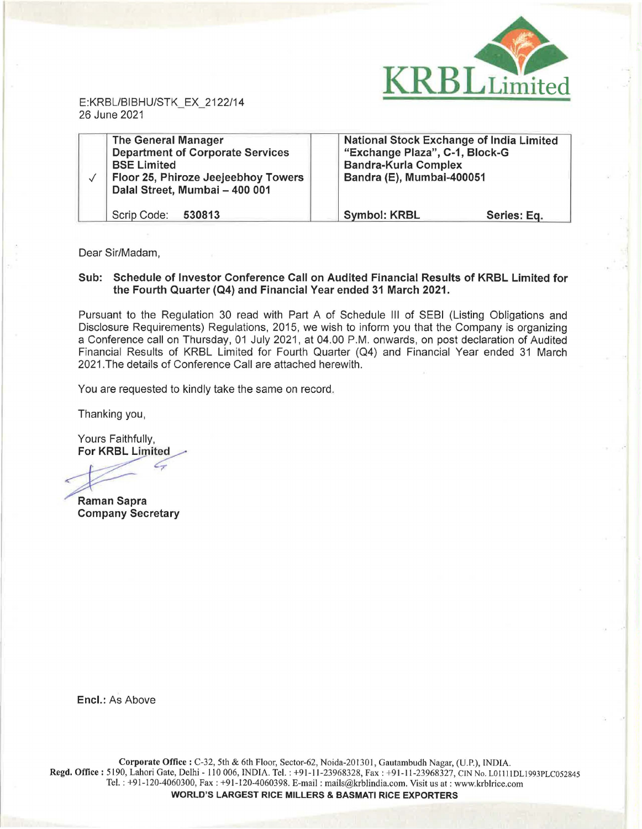

E:KRBL/BIBHU/STK\_EX\_2122/14 26 June 2021

| <b>The General Manager</b><br><b>Department of Corporate Services</b><br><b>BSE Limited</b><br>Floor 25, Phiroze Jeejeebhoy Towers<br>Dalal Street, Mumbai - 400 001 | <b>National Stock Exchange of India Limited</b><br>"Exchange Plaza", C-1, Block-G<br><b>Bandra-Kurla Complex</b><br>Bandra (E), Mumbai-400051 |             |
|----------------------------------------------------------------------------------------------------------------------------------------------------------------------|-----------------------------------------------------------------------------------------------------------------------------------------------|-------------|
| Scrip Code: 530813                                                                                                                                                   | <b>Symbol: KRBL</b>                                                                                                                           | Series: Eq. |

Dear Sir/Madam,

## **Sub: Schedule of Investor Conference Call on Audited Financial Results of KRBL Limited for the Fourth Quarter (Q4) and Financial Year ended 31 March 2021.**

Pursuant to the Regulation 30 read with Part A of Schedule Ill of SEBI (Listing Obligations and Disclosure Requirements) Regulations, 2015, we wish to inform you that the Company is organizing a Conference call on Thursday, 01 July 2021, at 04.00 P.M. onwards, on post declaration of Audited Financial Results of KRBL Limited for Fourth Quarter (Q4) and Financial Year ended 31 March 2021.The details of Conference Call are attached herewith.

You are requested to kindly take the same on record.

Thanking you,

Yours Faithfully, **For KRBL Limited** 

*7* 

**Raman Sapra Company Secretary** 

**Encl.:** As Above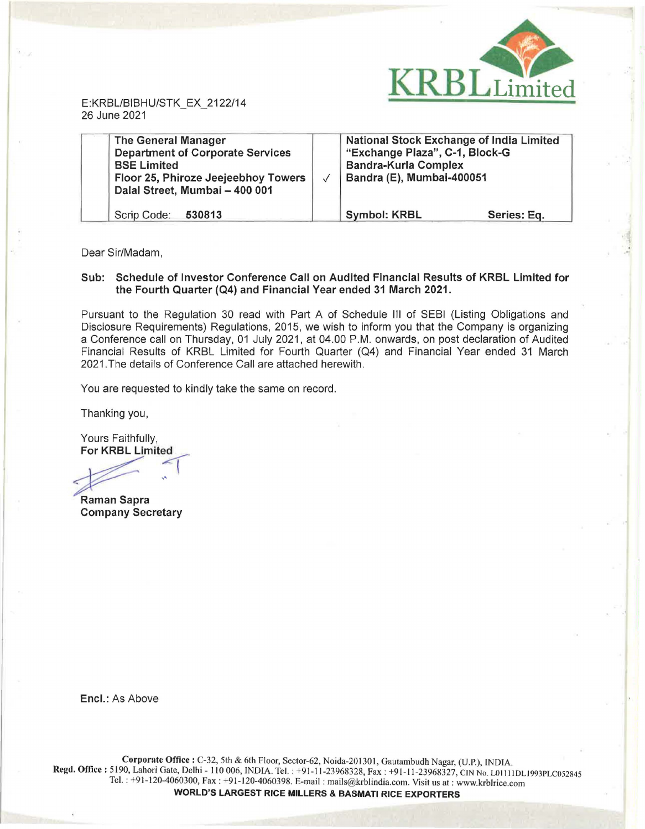

E:KRBL/BIBHU/STK\_EX\_2122/14 26 June 2021

| <b>The General Manager</b><br><b>Department of Corporate Services</b><br><b>BSE Limited</b><br>Floor 25, Phiroze Jeejeebhoy Towers<br>Dalal Street, Mumbai - 400 001 | <b>National Stock Exchange of India Limited</b><br>"Exchange Plaza", C-1, Block-G<br><b>Bandra-Kurla Complex</b><br>Bandra (E), Mumbai-400051 |             |
|----------------------------------------------------------------------------------------------------------------------------------------------------------------------|-----------------------------------------------------------------------------------------------------------------------------------------------|-------------|
| Scrip Code:<br>530813                                                                                                                                                | <b>Symbol: KRBL</b>                                                                                                                           | Series: Eq. |

Dear Sir/Madam,

## **Sub: Schedule of Investor Conference Call on Audited Financial Results of KRBL Limited for the Fourth Quarter (Q4) and Financial Year ended 31 March 2021.**

Pursuant to the Regulation 30 read with Part A of Schedule Ill of SEBI (Listing Obligations and Disclosure Requirements) Regulations, 2015, we wish to inform you that the Company is organizing a Conference call on Thursday, 01 July 2021, at 04.00 P.M. onwards, on post declaration of Audited Financial Results of KRBL Limited for Fourth Quarter (Q4) and Financial Year ended 31 March 2021.The details of Conference Call are attached herewith.

You are requested to kindly take the same on record.

Thanking you,

Yours Faithfully, **For KRBL Limited** 

 $\sqrt{2}$ 

**Raman Sapra Company Secretary** 

**Encl.:** As Above